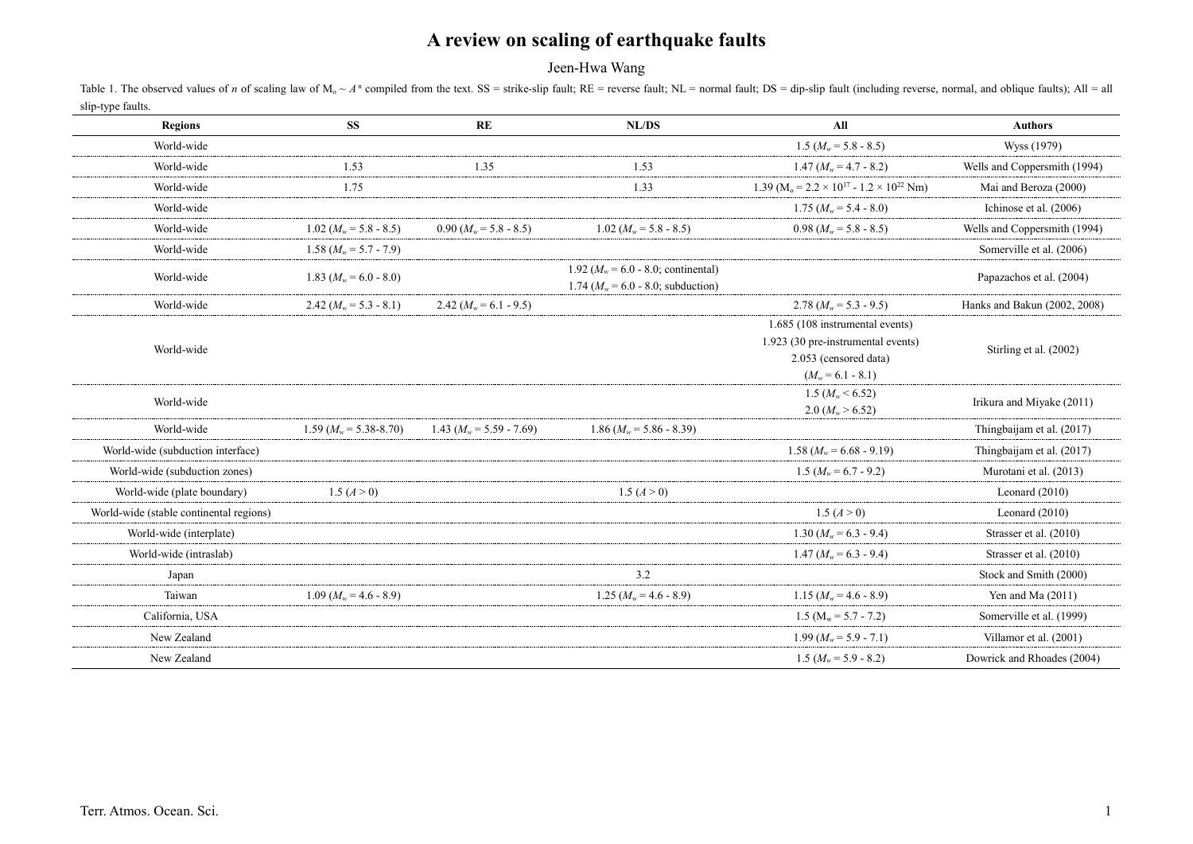Jeen-Hwa Wang

Table 1. The observed values of n of scaling law of  $M_0 \sim A^n$  compiled from the text. SS = strike-slip fault; RE = reverse fault; NL = normal fault; DS = dip-slip fault (including reverse, normal, and oblique faults); All slip-type faults.

| <b>Regions</b>                          | <b>SS</b>                  | RE                          | NL/DS                                                                           | All                                                                        | <b>Authors</b>               |
|-----------------------------------------|----------------------------|-----------------------------|---------------------------------------------------------------------------------|----------------------------------------------------------------------------|------------------------------|
| World-wide                              |                            |                             |                                                                                 | 1.5 $(M_w = 5.8 - 8.5)$                                                    | Wyss (1979)                  |
| World-wide                              | 1.53                       | 1.35                        | 1.53                                                                            | 1.47 $(M_w = 4.7 - 8.2)$                                                   | Wells and Coppersmith (1994) |
| World-wide                              | 1.75                       |                             | 1.33                                                                            | 1.39 (M <sub>0</sub> = 2.2 × 10 <sup>17</sup> - 1.2 × 10 <sup>22</sup> Nm) | Mai and Beroza (2000)        |
| World-wide                              |                            |                             |                                                                                 | 1.75 ( $M_w$ = 5.4 - 8.0)                                                  | Ichinose et al. (2006)       |
| World-wide                              | $1.02~(M_w = 5.8 - 8.5)$   | $0.90 (M_w = 5.8 - 8.5)$    | $1.02~(M_w = 5.8 - 8.5)$                                                        | $0.98~(M_w = 5.8 - 8.5)$                                                   | Wells and Coppersmith (1994) |
| World-wide                              | 1.58 $(M_w = 5.7 - 7.9)$   |                             |                                                                                 |                                                                            | Somerville et al. (2006)     |
| World-wide                              | 1.83 ( $M_w = 6.0 - 8.0$ ) |                             | 1.92 ( $M_w$ = 6.0 - 8.0; continental)<br>1.74 ( $M_w$ = 6.0 - 8.0; subduction) |                                                                            | Papazachos et al. (2004)     |
| World-wide                              | 2.42 $(M_w = 5.3 - 8.1)$   | 2.42 $(M_w = 6.1 - 9.5)$    |                                                                                 | 2.78 $(M_w = 5.3 - 9.5)$                                                   | Hanks and Bakun (2002, 2008) |
|                                         |                            |                             |                                                                                 | 1.685 (108 instrumental events)                                            |                              |
| World-wide                              |                            |                             |                                                                                 | 1.923 (30 pre-instrumental events)                                         | Stirling et al. (2002)       |
|                                         |                            |                             |                                                                                 | 2.053 (censored data)                                                      |                              |
|                                         |                            |                             |                                                                                 | $(M_w = 6.1 - 8.1)$                                                        |                              |
| World-wide                              |                            |                             |                                                                                 | 1.5 ( $M_w$ < 6.52)                                                        | Irikura and Miyake (2011)    |
|                                         |                            |                             |                                                                                 | 2.0 $(M_w > 6.52)$                                                         |                              |
| World-wide                              | $1.59 (M_w = 5.38 - 8.70)$ | 1.43 ( $M_w$ = 5.59 - 7.69) | $1.86 (M_w = 5.86 - 8.39)$                                                      |                                                                            | Thingbaijam et al. (2017)    |
| World-wide (subduction interface)       |                            |                             |                                                                                 | $1.58 (M_w = 6.68 - 9.19)$                                                 | Thingbaijam et al. (2017)    |
| World-wide (subduction zones)           |                            |                             |                                                                                 | 1.5 ( $M_w$ = 6.7 - 9.2)                                                   | Murotani et al. (2013)       |
| World-wide (plate boundary)             | 1.5 $(A > 0)$              |                             | 1.5 $(A > 0)$                                                                   |                                                                            | Leonard $(2010)$             |
| World-wide (stable continental regions) |                            |                             |                                                                                 | 1.5 $(A > 0)$                                                              | Leonard $(2010)$             |
| World-wide (interplate)                 |                            |                             |                                                                                 | 1.30 $(M_w = 6.3 - 9.4)$                                                   | Strasser et al. (2010)       |
| World-wide (intraslab)                  |                            |                             |                                                                                 | 1.47 $(M_w = 6.3 - 9.4)$                                                   | Strasser et al. (2010)       |
| Japan                                   |                            |                             | 3.2                                                                             |                                                                            | Stock and Smith (2000)       |
| Taiwan                                  | $1.09 (M_w = 4.6 - 8.9)$   |                             | 1.25 $(M_w = 4.6 - 8.9)$                                                        | 1.15 $(M_w = 4.6 - 8.9)$                                                   | Yen and Ma $(2011)$          |
| California, USA                         |                            |                             |                                                                                 | 1.5 ( $M_w = 5.7 - 7.2$ )                                                  | Somerville et al. (1999)     |
| New Zealand                             |                            |                             |                                                                                 | $1.99 (M_w = 5.9 - 7.1)$                                                   | Villamor et al. (2001)       |
| New Zealand                             |                            |                             |                                                                                 | 1.5 ( $M_w$ = 5.9 - 8.2)                                                   | Dowrick and Rhoades (2004)   |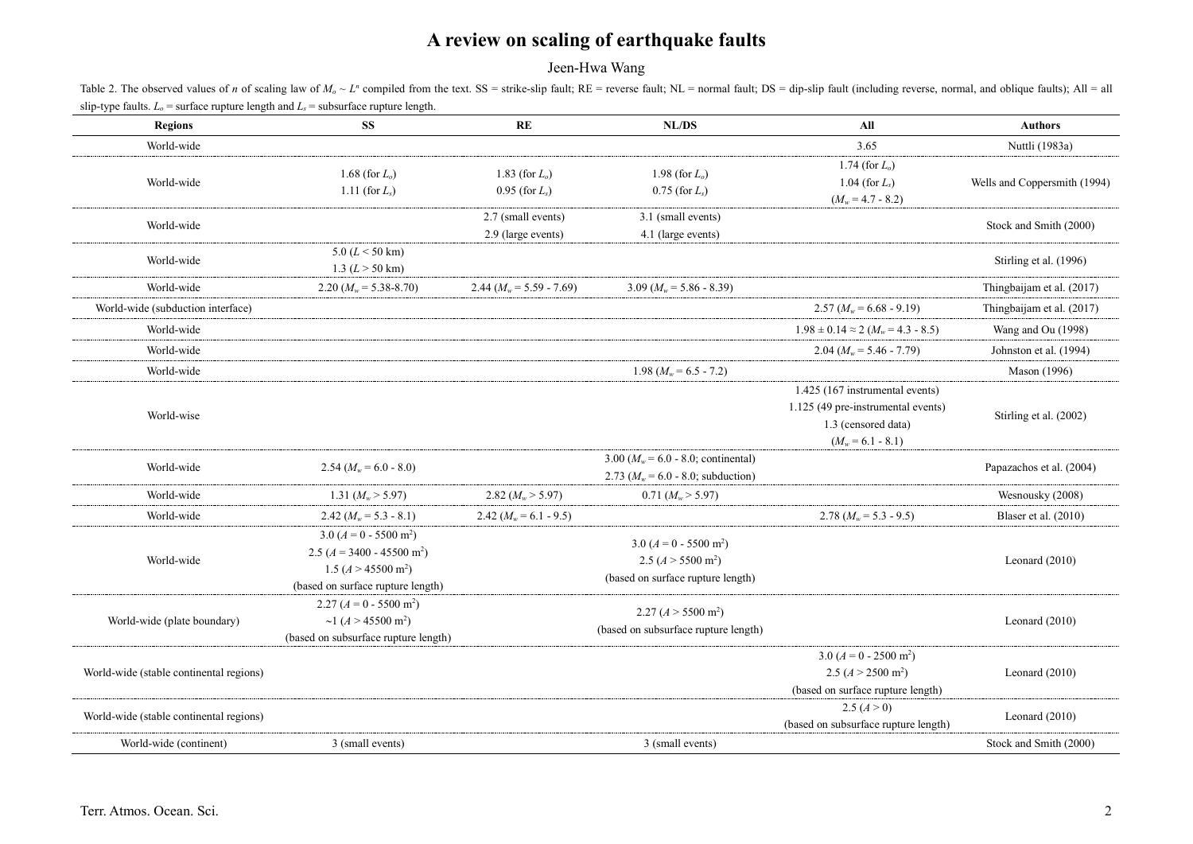Jeen-Hwa Wang

Table 2. The observed values of n of scaling law of  $M_0 \sim L^n$  compiled from the text. SS = strike-slip fault; RE = reverse fault; NL = normal fault; DS = dip-slip fault (including reverse, normal, and oblique faults); All slip-type faults.  $L_0$  = surface rupture length and  $L_0$  = subsurface rupture length.

| <b>Regions</b>                          | SS.                                                                                                                                         | RE                                       | NL/DS                                                                                         | All                                                                                                                 | <b>Authors</b>               |
|-----------------------------------------|---------------------------------------------------------------------------------------------------------------------------------------------|------------------------------------------|-----------------------------------------------------------------------------------------------|---------------------------------------------------------------------------------------------------------------------|------------------------------|
| World-wide                              |                                                                                                                                             |                                          |                                                                                               | 3.65                                                                                                                | Nuttli (1983a)               |
| World-wide                              | 1.68 (for $L_o$ )<br>1.11 (for $L_s$ )                                                                                                      | 1.83 (for $L_o$ )<br>$0.95$ (for $L_s$ ) | 1.98 (for $L_0$ )<br>$0.75$ (for $L_s$ )                                                      | 1.74 (for $L_0$ )<br>1.04 (for $L_s$ )<br>$(M_w = 4.7 - 8.2)$                                                       | Wells and Coppersmith (1994) |
| World-wide                              |                                                                                                                                             | 2.7 (small events)<br>2.9 (large events) | 3.1 (small events)<br>4.1 (large events)                                                      |                                                                                                                     | Stock and Smith (2000)       |
| World-wide                              | $5.0 (L < 50$ km)<br>1.3 $(L > 50$ km)                                                                                                      |                                          |                                                                                               |                                                                                                                     | Stirling et al. (1996)       |
| World-wide                              | 2.20 $(M_w = 5.38 - 8.70)$                                                                                                                  | 2.44 $(M_w = 5.59 - 7.69)$               | $3.09 (M_w = 5.86 - 8.39)$                                                                    |                                                                                                                     | Thingbaijam et al. (2017)    |
| World-wide (subduction interface)       |                                                                                                                                             |                                          |                                                                                               | $2.57 (M_w = 6.68 - 9.19)$                                                                                          | Thingbaijam et al. (2017)    |
| World-wide                              |                                                                                                                                             |                                          |                                                                                               | $1.98 \pm 0.14 \approx 2$ ( $M_w = 4.3 - 8.5$ )                                                                     | Wang and Ou (1998)           |
| World-wide                              |                                                                                                                                             |                                          |                                                                                               | 2.04 ( $M_w$ = 5.46 - 7.79)                                                                                         | Johnston et al. (1994)       |
| World-wide                              |                                                                                                                                             |                                          | 1.98 $(M_w = 6.5 - 7.2)$                                                                      |                                                                                                                     | Mason (1996)                 |
| World-wise                              |                                                                                                                                             |                                          |                                                                                               | 1.425 (167 instrumental events)<br>1.125 (49 pre-instrumental events)<br>1.3 (censored data)<br>$(M_w = 6.1 - 8.1)$ | Stirling et al. (2002)       |
| World-wide                              | 2.54 $(M_w = 6.0 - 8.0)$                                                                                                                    |                                          | 3.00 ( $M_w$ = 6.0 - 8.0; continental)<br>2.73 ( $M_w = 6.0 - 8.0$ ; subduction)              |                                                                                                                     | Papazachos et al. (2004)     |
| World-wide                              | 1.31 $(M_w > 5.97)$                                                                                                                         | 2.82 $(M_w > 5.97)$                      | $0.71~(M_w > 5.97)$                                                                           |                                                                                                                     | Wesnousky (2008)             |
| World-wide                              | 2.42 $(M_w = 5.3 - 8.1)$                                                                                                                    | 2.42 $(M_w = 6.1 - 9.5)$                 |                                                                                               | 2.78 $(M_w = 5.3 - 9.5)$                                                                                            | Blaser et al. (2010)         |
| World-wide                              | $3.0 (A = 0 - 5500 m^2)$<br>2.5 ( $A = 3400 - 45500$ m <sup>2</sup> )<br>1.5 $(A > 45500 \text{ m}^2)$<br>(based on surface rupture length) |                                          | $3.0 (A = 0 - 5500 m^2)$<br>2.5 $(A > 5500 \text{ m}^2)$<br>(based on surface rupture length) |                                                                                                                     | Leonard $(2010)$             |
| World-wide (plate boundary)             | $2.27 (A = 0 - 5500 m2)$<br>~1 $(A > 45500 \text{ m}^2)$<br>(based on subsurface rupture length)                                            |                                          | 2.27 (A > 5500 m <sup>2</sup> )<br>(based on subsurface rupture length)                       |                                                                                                                     | Leonard $(2010)$             |
| World-wide (stable continental regions) |                                                                                                                                             |                                          |                                                                                               | $3.0 (A = 0 - 2500 m2)$<br>2.5 $(A > 2500 \text{ m}^2)$<br>(based on surface rupture length)                        | Leonard $(2010)$             |
| World-wide (stable continental regions) |                                                                                                                                             |                                          |                                                                                               | 2.5 $(A > 0)$<br>(based on subsurface rupture length)                                                               | Leonard $(2010)$             |
| World-wide (continent)                  | 3 (small events)                                                                                                                            |                                          | 3 (small events)                                                                              |                                                                                                                     | Stock and Smith (2000)       |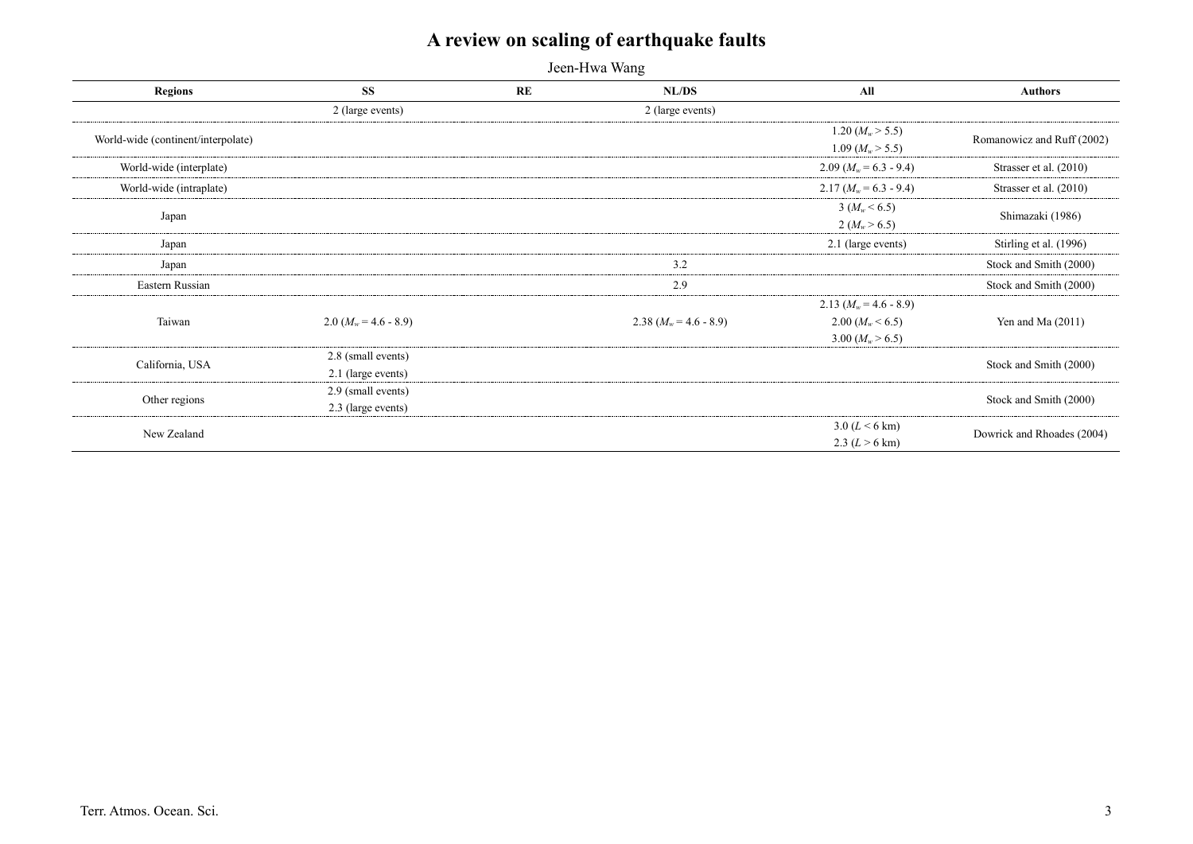Jeen-Hwa Wang

| <b>Regions</b>                     | <b>SS</b>               | <b>RE</b> | NL/DS                    | All                      | <b>Authors</b>             |
|------------------------------------|-------------------------|-----------|--------------------------|--------------------------|----------------------------|
|                                    | 2 (large events)        |           | 2 (large events)         |                          |                            |
| World-wide (continent/interpolate) |                         |           |                          | 1.20 $(M_w > 5.5)$       | Romanowicz and Ruff (2002) |
|                                    |                         |           |                          | 1.09 $(M_w > 5.5)$       |                            |
| World-wide (interplate)            |                         |           |                          | $2.09 (M_w = 6.3 - 9.4)$ | Strasser et al. (2010)     |
| World-wide (intraplate)            |                         |           |                          | $2.17 (M_w = 6.3 - 9.4)$ | Strasser et al. (2010)     |
|                                    |                         |           |                          | $3 (M_w < 6.5)$          | Shimazaki (1986)           |
| Japan                              |                         |           |                          | $2 (M_w > 6.5)$          |                            |
| Japan                              |                         |           |                          | 2.1 (large events)       | Stirling et al. (1996)     |
| Japan                              |                         |           | 3.2                      |                          | Stock and Smith (2000)     |
| Eastern Russian                    |                         |           | 2.9                      |                          | Stock and Smith (2000)     |
|                                    |                         |           |                          | 2.13 $(M_w = 4.6 - 8.9)$ | Yen and Ma $(2011)$        |
| Taiwan                             | $2.0 (M_w = 4.6 - 8.9)$ |           | 2.38 $(M_w = 4.6 - 8.9)$ | 2.00 ( $M_w$ < 6.5)      |                            |
|                                    |                         |           |                          | 3.00 $(M_w > 6.5)$       |                            |
| California, USA                    | 2.8 (small events)      |           |                          |                          | Stock and Smith (2000)     |
|                                    | 2.1 (large events)      |           |                          |                          |                            |
| Other regions                      | 2.9 (small events)      |           |                          |                          | Stock and Smith (2000)     |
|                                    | 2.3 (large events)      |           |                          |                          |                            |
| New Zealand                        |                         |           |                          | 3.0 ( $L < 6$ km)        | Dowrick and Rhoades (2004) |
|                                    |                         |           |                          | 2.3 $(L > 6 \text{ km})$ |                            |